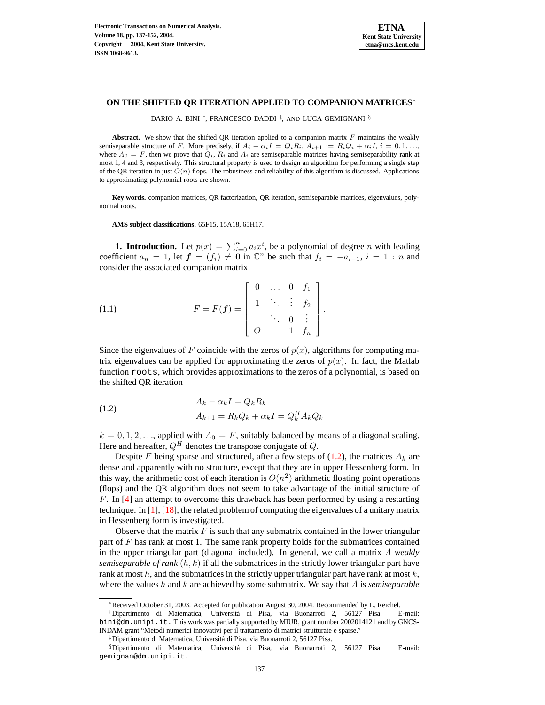

## **ON THE SHIFTED QR ITERATION APPLIED TO COMPANION MATRICES**<sup>∗</sup>

DARIO A. BINI <sup>†</sup>, FRANCESCO DADDI <sup>‡</sup>, AND LUCA GEMIGNANI <sup>§</sup>

**Abstract.** We show that the shifted QR iteration applied to a companion matrix F maintains the weakly semiseparable structure of F. More precisely, if  $A_i - \alpha_i I = Q_i R_i$ ,  $A_{i+1} := R_i Q_i + \alpha_i I$ ,  $i = 0, 1, \ldots$ , where  $A_0 = F$ , then we prove that  $Q_i$ ,  $R_i$  and  $A_i$  are semiseparable matrices having semiseparability rank at most 1, 4 and 3, respectively. This structural property is used to design an algorithm for performing a single step of the QR iteration in just  $O(n)$  flops. The robustness and reliability of this algorithm is discussed. Applications to approximating polynomial roots are shown.

**Key words.** companion matrices, QR factorization, QR iteration, semiseparable matrices, eigenvalues, polynomial roots.

<span id="page-0-1"></span>**AMS subject classifications.** 65F15, 15A18, 65H17.

**1. Introduction.** Let  $p(x) = \sum_{i=0}^{n} a_i x^i$ , be a polynomial of degree *n* with leading coefficient  $a_n = 1$ , let  $\mathbf{f} = (f_i) \neq \mathbf{0}$  in  $\mathbb{C}^n$  be such that  $f_i = -a_{i-1}, i = 1:n$  and consider the associated companion matrix

(1.1) 
$$
F = F(f) = \begin{bmatrix} 0 & \dots & 0 & f_1 \\ 1 & \ddots & \vdots & f_2 \\ \vdots & \ddots & 0 & \vdots \\ 0 & 1 & f_n \end{bmatrix}.
$$

<span id="page-0-0"></span>Since the eigenvalues of F coincide with the zeros of  $p(x)$ , algorithms for computing matrix eigenvalues can be applied for approximating the zeros of  $p(x)$ . In fact, the Matlab function roots, which provides approximations to the zeros of a polynomial, is based on the shifted QR iteration

(1.2) 
$$
A_k - \alpha_k I = Q_k R_k
$$

$$
A_{k+1} = R_k Q_k + \alpha_k I = Q_k^H A_k Q_k
$$

 $k = 0, 1, 2, \dots$ , applied with  $A_0 = F$ , suitably balanced by means of a diagonal scaling. Here and hereafter,  $Q^H$  denotes the transpose conjugate of Q.

Despite F being sparse and structured, after a few steps of  $(1.2)$ , the matrices  $A_k$  are dense and apparently with no structure, except that they are in upper Hessenberg form. In this way, the arithmetic cost of each iteration is  $O(n^2)$  arithmetic floating point operations (flops) and the QR algorithm does not seem to take advantage of the initial structure of F. In  $[4]$  an attempt to overcome this drawback has been performed by using a restarting technique. In [\[1\]](#page-13-1), [\[18\]](#page-14-0), the related problem of computing the eigenvalues of a unitary matrix in Hessenberg form is investigated.

Observe that the matrix  $F$  is such that any submatrix contained in the lower triangular part of  $F$  has rank at most 1. The same rank property holds for the submatrices contained in the upper triangular part (diagonal included). In general, we call a matrix A *weakly semiseparable of rank* (h, k) if all the submatrices in the strictly lower triangular part have rank at most  $h$ , and the submatrices in the strictly upper triangular part have rank at most  $k$ , where the values h and k are achieved by some submatrix. We say that A is *semiseparable*

<sup>∗</sup>Received October 31, 2003. Accepted for publication August 30, 2004. Recommended by L. Reichel.

<sup>†</sup>Dipartimento di Matematica, Universita` di Pisa, via Buonarroti 2, 56127 Pisa. E-mail: bini@dm.unipi.it. This work was partially supported by MIUR, grant number 2002014121 and by GNCS-INDAM grant "Metodi numerici innovativi per il trattamento di matrici strutturate e sparse."

<sup>‡</sup>Dipartimento di Matematica, Universita` di Pisa, via Buonarroti 2, 56127 Pisa.

<sup>§</sup>Dipartimento di Matematica, Universita` di Pisa, via Buonarroti 2, 56127 Pisa. E-mail: gemignan@dm.unipi.it.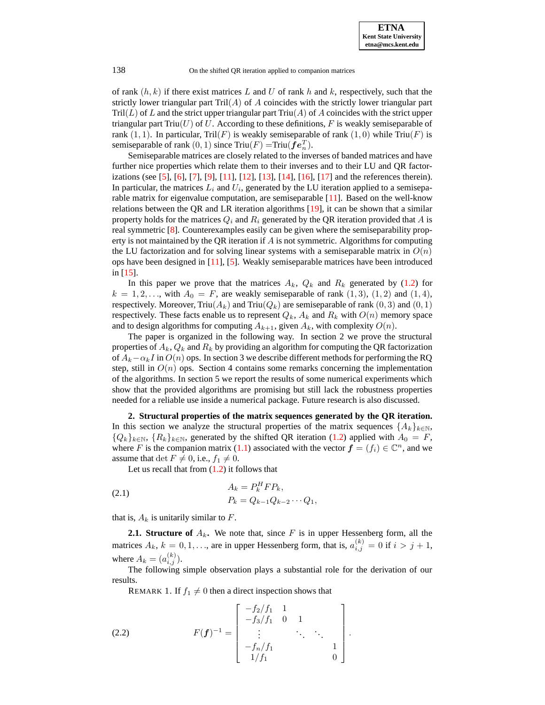of rank  $(h, k)$  if there exist matrices L and U of rank h and k, respectively, such that the strictly lower triangular part  $Tri(A)$  of A coincides with the strictly lower triangular part  $Tri(L)$  of L and the strict upper triangular part  $Triu(A)$  of A coincides with the strict upper triangular part  $Triu(U)$  of U. According to these definitions, F is weakly semiseparable of rank  $(1, 1)$ . In particular, Tril $(F)$  is weakly semiseparable of rank  $(1, 0)$  while Triu $(F)$  is semiseparable of rank  $(0, 1)$  since Triu $(F)$  =Triu $(\boldsymbol{fe}_n^T)$ .

Semiseparable matrices are closely related to the inverses of banded matrices and have further nice properties which relate them to their inverses and to their LU and QR factor-izations (see [\[5\]](#page-13-2), [\[6\]](#page-13-3), [\[7\]](#page-13-4), [\[9\]](#page-13-5), [\[11\]](#page-13-6), [\[12\]](#page-13-7), [\[13\]](#page-14-1), [\[14\]](#page-14-2), [\[16\]](#page-14-3), [\[17\]](#page-14-4) and the references therein). In particular, the matrices  $L_i$  and  $U_i$ , generated by the LU iteration applied to a semiseparable matrix for eigenvalue computation, are semiseparable [\[11\]](#page-13-6). Based on the well-know relations between the QR and LR iteration algorithms [\[19\]](#page-15-0), it can be shown that a similar property holds for the matrices  $Q_i$  and  $R_i$  generated by the QR iteration provided that A is real symmetric [\[8\]](#page-13-8). Counterexamples easily can be given where the semiseparability property is not maintained by the QR iteration if  $\tilde{A}$  is not symmetric. Algorithms for computing the LU factorization and for solving linear systems with a semiseparable matrix in  $O(n)$ ops have been designed in [\[11\]](#page-13-6), [\[5\]](#page-13-2). Weakly semiseparable matrices have been introduced in [\[15\]](#page-14-5).

In this paper we prove that the matrices  $A_k$ ,  $Q_k$  and  $R_k$  generated by [\(1.2\)](#page-0-0) for  $k = 1, 2, \ldots$ , with  $A_0 = F$ , are weakly semiseparable of rank  $(1, 3)$ ,  $(1, 2)$  and  $(1, 4)$ , respectively. Moreover, Triu $(A_k)$  and Triu $(Q_k)$  are semiseparable of rank  $(0, 3)$  and  $(0, 1)$ respectively. These facts enable us to represent  $Q_k$ ,  $A_k$  and  $R_k$  with  $O(n)$  memory space and to design algorithms for computing  $A_{k+1}$ , given  $A_k$ , with complexity  $O(n)$ .

The paper is organized in the following way. In section 2 we prove the structural properties of  $A_k$ ,  $Q_k$  and  $R_k$  by providing an algorithm for computing the QR factorization of  $A_k - \alpha_k I$  in  $O(n)$  ops. In section 3 we describe different methods for performing the RQ step, still in  $O(n)$  ops. Section 4 contains some remarks concerning the implementation of the algorithms. In section 5 we report the results of some numerical experiments which show that the provided algorithms are promising but still lack the robustness properties needed for a reliable use inside a numerical package. Future research is also discussed.

**2. Structural properties of the matrix sequences generated by the QR iteration.** In this section we analyze the structural properties of the matrix sequences  $\{A_k\}_{k\in\mathbb{N}}$ ,  ${Q_k}_{k \in \mathbb{N}}$ ,  ${R_k}_{k \in \mathbb{N}}$ , generated by the shifted QR iteration [\(1.2\)](#page-0-0) applied with  $A_0 = F$ , where F is the companion matrix [\(1.1\)](#page-0-1) associated with the vector  $f = (f_i) \in \mathbb{C}^n$ , and we assume that det  $F \neq 0$ , i.e.,  $f_1 \neq 0$ .

<span id="page-1-0"></span>Let us recall that from  $(1.2)$  it follows that

(2.1) 
$$
A_k = P_k^H F P_k, P_k = Q_{k-1} Q_{k-2} \cdots Q_1,
$$

that is,  $A_k$  is unitarily similar to  $F$ .

**2.1. Structure of**  $A_k$ . We note that, since F is in upper Hessenberg form, all the matrices  $A_k$ ,  $k = 0, 1, \ldots$ , are in upper Hessenberg form, that is,  $a_{i,j}^{(k)} = 0$  if  $i > j + 1$ , where  $A_k = (a_{i,j}^{(k)})$ .

The following simple observation plays a substantial role for the derivation of our results.

REMARK 1. If  $f_1 \neq 0$  then a direct inspection shows that

(2.2) 
$$
F(\mathbf{f})^{-1} = \begin{bmatrix} -f_2/f_1 & 1 & & \\ -f_3/f_1 & 0 & 1 & \\ \vdots & \ddots & \ddots & \\ -f_n/f_1 & & & 1 \\ 1/f_1 & & & 0 \end{bmatrix}.
$$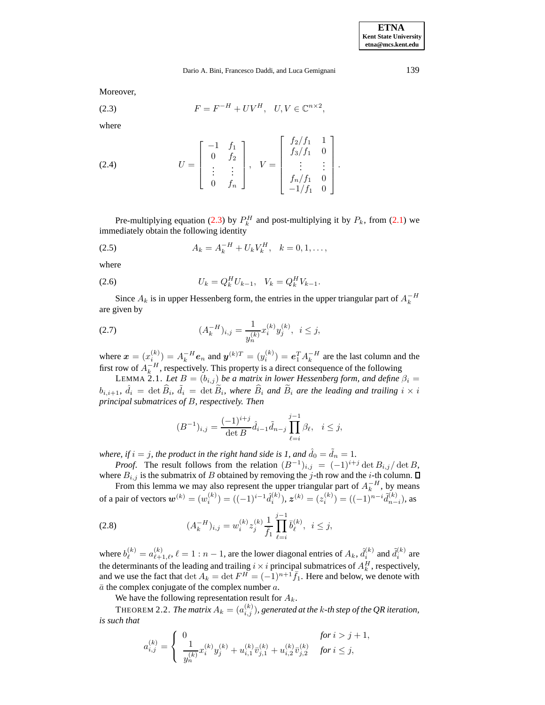<span id="page-2-0"></span>Moreover,

$$
(2.3) \t\t F = F^{-H} + UV^H, \quad U, V \in \mathbb{C}^{n \times 2},
$$

where

(2.4) 
$$
U = \begin{bmatrix} -1 & f_1 \\ 0 & f_2 \\ \vdots & \vdots \\ 0 & f_n \end{bmatrix}, \quad V = \begin{bmatrix} f_2/f_1 & 1 \\ f_3/f_1 & 0 \\ \vdots & \vdots \\ f_n/f_1 & 0 \\ -1/f_1 & 0 \end{bmatrix}.
$$

<span id="page-2-3"></span>Pre-multiplying equation [\(2.3\)](#page-2-0) by  $P_k^H$  and post-multiplying it by  $P_k$ , from [\(2.1\)](#page-1-0) we immediately obtain the following identity

(2.5) 
$$
A_k = A_k^{-H} + U_k V_k^H, \quad k = 0, 1, ...,
$$

where

(2.6) 
$$
U_k = Q_k^H U_{k-1}, \quad V_k = Q_k^H V_{k-1}.
$$

<span id="page-2-2"></span>Since  $A_k$  is in upper Hessenberg form, the entries in the upper triangular part of  $A_k^{-H}$ are given by

(2.7) 
$$
(A_k^{-H})_{i,j} = \frac{1}{y_n^{(k)}} x_i^{(k)} y_j^{(k)}, \ i \le j,
$$

where  $\mathbf{x} = (x_i^{(k)}) = A_k^{-H} \mathbf{e}_n$  and  $\mathbf{y}^{(k)T} = (y_i^{(k)}) = \mathbf{e}_1^T A_k^{-H}$  are the last column and the first row of  $A_k^{-H}$ , respectively. This property is a direct consequence of the following

<span id="page-2-5"></span>LEMMA 2.1. Let  $B = (b_{i,j})$  be a matrix in lower Hessenberg form, and define  $\beta_i =$  $b_{i,i+1}, \ \hat{d}_i = \det \widehat{B}_i, \ \tilde{d}_i = \det \widetilde{B}_i$ , where  $\widehat{B}_i$  and  $\widetilde{B}_i$  are the leading and trailing  $i \times i$ *principal submatrices of* B*, respectively. Then*

<span id="page-2-4"></span>
$$
(B^{-1})_{i,j} = \frac{(-1)^{i+j}}{\det B} \hat{d}_{i-1} \tilde{d}_{n-j} \prod_{\ell=i}^{j-1} \beta_{\ell}, \quad i \le j,
$$

*where, if*  $i = j$ *, the product in the right hand side is 1, and*  $\hat{d}_0 = \tilde{d}_n = 1$ *.* 

*Proof.* The result follows from the relation  $(B^{-1})_{i,j} = (-1)^{i+j} \det B_{i,j} / \det B$ , where  $B_{i,j}$  is the submatrix of B obtained by removing the j-th row and the i-th column.  $\square$ 

From this lemma we may also represent the upper triangular part of  $A_k^{-H}$ , by means of a pair of vectors  $\bm{w}^{(k)}=(w_i^{(k)})=((-1)^{i-1}\hat{d}_i^{(k)}), \bm{z}^{(k)}=(z_i^{(k)})=((-1)^{n-i}\tilde{d}_{n-i}^{(k)}),$  as

(2.8) 
$$
(A_k^{-H})_{i,j} = w_i^{(k)} z_j^{(k)} \frac{1}{\bar{f}_1} \prod_{\ell=i}^{j-1} \bar{b}_\ell^{(k)}, \ \ i \le j,
$$

where  $b_{\ell}^{(k)} = a_{\ell+1,\ell}^{(k)}$ ,  $\ell = 1:n-1$ , are the lower diagonal entries of  $A_k$ ,  $\hat{d}_i^{(k)}$  and  $\tilde{d}_i^{(k)}$  are the determinants of the leading and trailing  $i \times i$  principal submatrices of  $A_k^H$ , respectively, and we use the fact that  $\det A_k = \det F^H = (-1)^{n+1} \overline{f}_1$ . Here and below, we denote with  $\bar{a}$  the complex conjugate of the complex number  $a$ .

We have the following representation result for  $A_k$ .

<span id="page-2-1"></span>THEOREM 2.2. *The matrix*  $A_k = (a_{i,j}^{(k)})$ *, generated at the k-th step of the QR iteration, is such that*

$$
a_{i,j}^{(k)} = \begin{cases} 0 & \text{for } i > j+1, \\ \frac{1}{y_n^{(k)}} x_i^{(k)} y_j^{(k)} + u_{i,1}^{(k)} \bar{v}_{j,1}^{(k)} + u_{i,2}^{(k)} \bar{v}_{j,2}^{(k)} & \text{for } i \leq j, \end{cases}
$$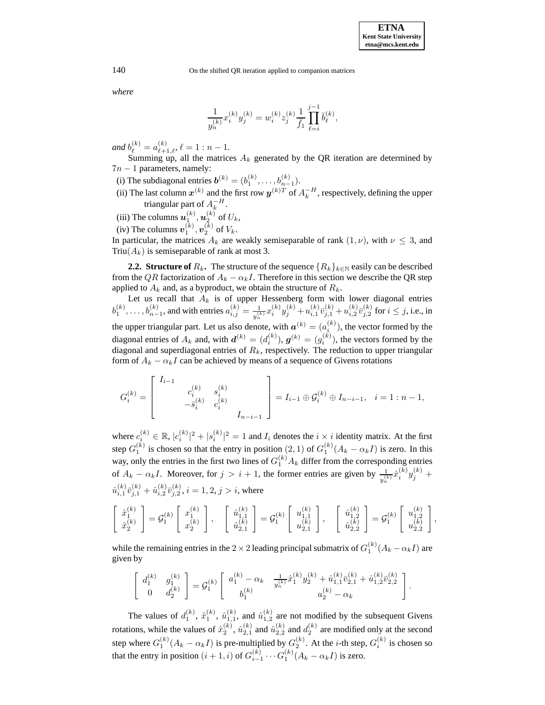.

140 On the shifted OR iteration applied to companion matrices

*where*

$$
\frac{1}{y_n^{(k)}}x_i^{(k)}y_j^{(k)} = w_i^{(k)}z_j^{(k)}\frac{1}{\bar{f}_1}\prod_{\ell=i}^{j-1}\bar{b}_\ell^{(k)},
$$

*and*  $b_{\ell}^{(k)} = a_{\ell+1,\ell}^{(k)}$ ,  $\ell = 1 : n - 1$ .

Summing up, all the matrices  $A_k$  generated by the QR iteration are determined by  $7n - 1$  parameters, namely:

- (i) The subdiagonal entries  $\boldsymbol{b}^{(k)} = (b_1^{(k)}, \dots, b_{n-1}^{(k)}).$
- (ii) The last column  $x^{(k)}$  and the first row  $y^{(k)T}$  of  $A_k^{-H}$ , respectively, defining the upper triangular part of  $A_k^{-H}$ .

(iii) The columns  $\boldsymbol{u}^{(k)}_1, \boldsymbol{u}^{(k)}_2$  of  $U_k$ ,

(iv) The columns  $\boldsymbol{v}_1^{(k)}, \boldsymbol{v}_2^{(k)}$  of  $V_k$ .

In particular, the matrices  $A_k$  are weakly semiseparable of rank  $(1, \nu)$ , with  $\nu \leq 3$ , and Triu( $A_k$ ) is semiseparable of rank at most 3.

**2.2. Structure of**  $R_k$ . The structure of the sequence  $\{R_k\}_{k\in\mathbb{N}}$  easily can be described from the QR factorization of  $A_k - \alpha_k I$ . Therefore in this section we describe the QR step applied to  $A_k$  and, as a byproduct, we obtain the structure of  $R_k$ .

Let us recall that  $A_k$  is of upper Hessenberg form with lower diagonal entries  $b_1^{(k)}, \ldots, b_{n-1}^{(k)}$ , and with entries  $a_{i,j}^{(k)} = \frac{1}{n^{(k)}}$  $\frac{1}{y_n^{(k)}}x_i^{(k)}y_j^{(k)}+u_{i,1}^{(k)}$  $\sum_{i,1}^{(k)}\bar{v}_{j,1}^{(k)}+u_{i,2}^{(k)}$  $\begin{array}{c} (k)_{\begin{array}{c} \tau \end{array}} (k) \ i, 2 \ \end{array}$  $j_{j,2}^{(\kappa)}$  for  $i \leq j$ , i.e., in the upper triangular part. Let us also denote, with  $\boldsymbol{a}^{(k)} = (a_i^{(k)})$ , the vector formed by the diagonal entries of  $A_k$  and, with  $\boldsymbol{d}^{(k)} = (d_i^{(k)}), \boldsymbol{g}^{(k)} = (g_i^{(k)}),$  the vectors formed by the diagonal and superdiagonal entries of  $R_k$ , respectively. The reduction to upper triangular form of  $A_k - \alpha_k I$  can be achieved by means of a sequence of Givens rotations

$$
G_i^{(k)}=\left[\begin{array}{cccc}I_{i-1} & & & & \\ & c_i^{(k)} & s_i^{(k)} & \\ & -\bar{s}_i^{(k)} & c_i^{(k)} & \\ & & I_{n-i-1} & \end{array}\right]=I_{i-1}\oplus\mathcal{G}_i^{(k)}\oplus I_{n-i-1},\quad i=1:n-1,
$$

where  $c_i^{(k)} \in \mathbb{R}$ ,  $|c_i^{(k)}|^2 + |s_i^{(k)}|^2 = 1$  and  $I_i$  denotes the  $i \times i$  identity matrix. At the first step  $G_1^{(k)}$  is chosen so that the entry in position  $(2,1)$  of  $G_1^{(k)}(A_k - \alpha_k I)$  is zero. In this way, only the entries in the first two lines of  $G_1^{(k)}A_k$  differ from the corresponding entries of  $A_k - \alpha_k I$ . Moreover, for  $j > i + 1$ , the former entries are given by  $\frac{1}{y_n^{(k)}} \hat{x}_i^{(k)} y_j^{(k)}$  +  $\hat{u}_{i,1}^{(k)}$  $\binom{(k)}{i,1}\bar v^{(k)}_{j,1}+\hat u^{(k)}_{i,2}$  $\begin{array}{c} \scriptstyle (k)_{\substack{\\ \scriptstyle i,2}} \bar v^{(k)}_{j,2} \end{array}$  $j_{j,2}^{(\kappa)}$ ,  $i = 1, 2, j > i$ , where

$$
\left[\begin{array}{c} \hat{x}_1^{(k)} \\ \hat{x}_2^{(k)} \end{array}\right] = \mathcal{G}_1^{(k)}\left[\begin{array}{c} x_1^{(k)} \\ x_2^{(k)} \end{array}\right], \quad \left[\begin{array}{c} \hat{u}_{1,1}^{(k)} \\ \hat{u}_{2,1}^{(k)} \end{array}\right] = \mathcal{G}_1^{(k)}\left[\begin{array}{c} u_{1,1}^{(k)} \\ u_{2,1}^{(k)} \end{array}\right], \quad \left[\begin{array}{c} \hat{u}_{1,2}^{(k)} \\ \hat{u}_{2,2}^{(k)} \end{array}\right] = \mathcal{G}_1^{(k)}\left[\begin{array}{c} u_{1,2}^{(k)} \\ u_{2,2}^{(k)} \end{array}\right],
$$

while the remaining entries in the 2  $\times$  2 leading principal submatrix of  $G_1^{(k)}(A_k-\alpha_k I)$  are given by

$$
\left[ \begin{array}{cc} d_1^{(k)} & g_1^{(k)} \\ 0 & d_2^{(k)} \end{array} \right] = \mathcal{G}_1^{(k)} \left[ \begin{array}{cc} a_1^{(k)} - \alpha_k & \frac{1}{y_n^{(k)}} \hat{x}_1^{(k)} y_2^{(k)} + \hat{u}_{1,1}^{(k)} \bar{v}_{2,1}^{(k)} + \hat{u}_{1,2}^{(k)} \bar{v}_{2,2}^{(k)} \\ b_1^{(k)} & a_2^{(k)} - \alpha_k \end{array} \right]
$$

The values of  $d_1^{(k)}$ ,  $\hat{x}_1^{(k)}$ ,  $\hat{u}_{1,1}^{(k)}$ , and  $\hat{u}_{1,2}^{(k)}$  are not modified by the subsequent Givens rotations, while the values of  $\hat{x}_2^{(k)}$ ,  $\hat{u}_{2,1}^{(k)}$  and  $\hat{u}_{2,2}^{(k)}$  and  $d_2^{(k)}$  are modified only at the second step where  $G_1^{(k)}(A_k - \alpha_k I)$  is pre-multiplied by  $G_2^{(k)}$ . At the *i*-th step,  $G_i^{(k)}$  is chosen so that the entry in position  $(i + 1, i)$  of  $G_{i-1}^{(k)} \cdots G_1^{(k)} (A_k - \alpha_k I)$  is zero.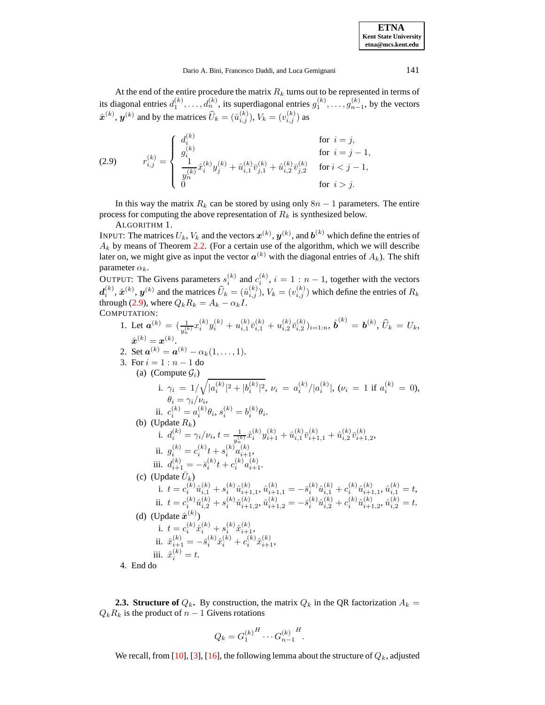<span id="page-4-0"></span>At the end of the entire procedure the matrix  $R_k$  turns out to be represented in terms of its diagonal entries  $d_1^{(k)}, \ldots, d_n^{(k)}$ , its superdiagonal entries  $g_1^{(k)}, \ldots, g_{n-1}^{(k)}$ , by the vectors  $\hat{\boldsymbol{x}}^{(k)}$ ,  $\boldsymbol{y}^{(k)}$  and by the matrices  $\widehat{U}_k = (\hat{u}_{i,j}^{(k)}), V_k = (v_{i,j}^{(k)})$  as

(2.9) 
$$
r_{i,j}^{(k)} = \begin{cases} d_i^{(k)} & \text{for } i = j, \\ g_i^{(k)} & \text{for } i = j - 1, \\ \frac{1}{y_n^{(k)}} \hat{x}_i^{(k)} y_j^{(k)} + \hat{u}_{i,1}^{(k)} \bar{v}_{j,1}^{(k)} + \hat{u}_{i,2}^{(k)} \bar{v}_{j,2}^{(k)} & \text{for } i < j - 1, \\ 0 & \text{for } i > j. \end{cases}
$$

<span id="page-4-1"></span>In this way the matrix  $R_k$  can be stored by using only  $8n - 1$  parameters. The entire process for computing the above representation of  $R_k$  is synthesized below.

ALGORITHM 1.

INPUT: The matrices  $U_k, V_k$  and the vectors  $\mathbf{x}^{(k)}, \mathbf{y}^{(k)}$ , and  $\mathbf{b}^{(k)}$  which define the entries of  $A_k$  by means of Theorem [2.2.](#page-2-1) (For a certain use of the algorithm, which we will describe later on, we might give as input the vector  $a^{(k)}$  with the diagonal entries of  $A_k$ ). The shift parameter  $\alpha_k$ .

OUTPUT: The Givens parameters  $s_i^{(k)}$  and  $c_i^{(k)}$ ,  $i = 1 : n - 1$ , together with the vectors  $d_i^{(k)}$ ,  $\hat{x}^{(k)}$ ,  $y^{(k)}$  and the matrices  $\widehat{U}_k = (\hat{u}_{i,j}^{(k)})$ ,  $V_k = (v_{i,j}^{(k)})$  which define the entries of  $R_k$ through [\(2.9\)](#page-4-0), where  $Q_k R_k = A_k - \alpha_k I$ . COMPUTATION:

1. Let 
$$
\mathbf{a}^{(k)} = \left(\frac{1}{y_n^{(k)}} x_i^{(k)} y_i^{(k)} + u_{i,1}^{(k)} \bar{v}_{i,1}^{(k)} + u_{i,2}^{(k)} \bar{v}_{i,2}^{(k)} \right)_{i=1:n}
$$
,  $\hat{\mathbf{b}}^{(k)} = \mathbf{b}^{(k)}$ ,  $\hat{U}_k = U_k$ ,  
\n $\hat{\mathbf{x}}^{(k)} = \mathbf{a}^{(k)}$ .  
\n2. Set  $\mathbf{a}^{(k)} = \mathbf{a}^{(k)} - \alpha_k (1, \ldots, 1)$ .  
\n3. For  $i = 1 : n - 1$  do  
\n(a) Compute  $\mathcal{G}_i$ )  
\n $\mathbf{i} \quad \gamma_i = 1/\sqrt{|a_i^{(k)}|^2 + |b_i^{(k)}|^2}$ ,  $\nu_i = a_i^{(k)}/|a_i^{(k)}|$ ,  $(\nu_i = 1$  if  $a_i^{(k)} = 0)$ ,  
\n $\theta_i = \gamma_i / \nu_i$ ,  
\nii.  $c_i^{(k)} = a_i^{(k)} \theta_i$ ,  $s_i^{(k)} = b_i^{(k)} \theta_i$ .  
\n(b) (Update  $R_k$ )  
\n $\mathbf{i} \quad d_i^{(k)} = \gamma_i / \nu_i$ ,  $t = \frac{1}{y_n^{(k)}} \hat{x}_i^{(k)} y_{i+1}^{(k)} + \hat{u}_{i,1}^{(k)} \bar{v}_{i+1,1}^{(k)} + \hat{u}_{i,2}^{(k)} \bar{v}_{i+1,2}^{(k)}$ ,  
\n $\mathbf{i} \quad d_i^{(k)} = c_i^{(k)} t + s_i^{(k)} a_{i+1}^{(k)}$ .  
\n(c) (Update  $\hat{U}_k$ )  
\n $\mathbf{i} \quad t = c_i^{(k)} \hat{u}_{i,1}^{(k)} + s_i^{(k)} \hat{u}_{i+1}^{(k)}$ ,  $\hat{u}_{i+1,1}^{(k)} = -\bar{s}_i^{(k)} \hat{u}_{i,1}^{(k)} + c_i^{(k)} \hat{u}_{i+1,1}^{(k)}$ ,  $\hat{u}_{i,1}^{(k)} = t$ ,<

**2.3. Structure of**  $Q_k$ . By construction, the matrix  $Q_k$  in the QR factorization  $A_k =$  $Q_kR_k$  is the product of  $n-1$  Givens rotations

$$
Q_k = G_1^{(k)} \, K \, \cdots \, G_{n-1}^{(k)} \, K.
$$

We recall, from [\[10\]](#page-13-9), [\[3\]](#page-13-10), [\[16\]](#page-14-3), the following lemma about the structure of  $Q_k$ , adjusted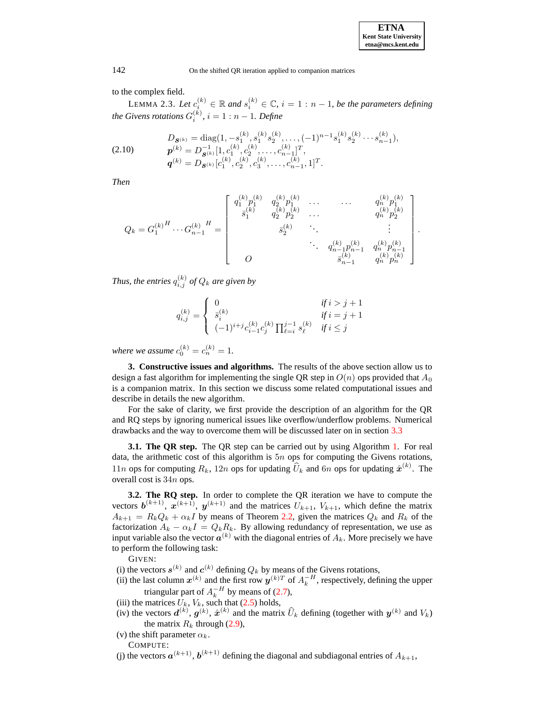<span id="page-5-0"></span>to the complex field.

LEMMA 2.3. Let  $c_i^{(k)} \in \mathbb{R}$  and  $s_i^{(k)} \in \mathbb{C}$ ,  $i = 1 : n - 1$ , be the parameters defining *the Givens rotations*  $G_i^{(k)}$ ,  $i = 1 : n - 1$ *. Define* 

$$
(2.10) \quad\n\begin{aligned}\nD_{\mathbf{S}^{(k)}} &= \text{diag}\big(1, -s_1^{(k)}, s_1^{(k)} s_2^{(k)}, \dots, (-1)^{n-1} s_1^{(k)} s_2^{(k)} \dots s_{n-1}^{(k)}\big), \\
\mathbf{p}^{(k)} &= D_{\mathbf{S}^{(k)}}^{-1} [1, c_1^{(k)}, c_2^{(k)}, \dots, c_{n-1}^{(k)}]^T, \\
\mathbf{q}^{(k)} &= D_{\mathbf{S}^{(k)}} \big[c_1^{(k)}, c_2^{(k)}, c_3^{(k)}, \dots, c_{n-1}^{(k)}, 1\big]^T.\n\end{aligned}
$$

*Then*

$$
Q_k = G_1^{(k)H} \cdots G_{n-1}^{(k)}{}^H = \begin{bmatrix} q_1^{(k)} p_1^{(k)} & q_2^{(k)} p_1^{(k)} & \cdots & q_n^{(k)} p_1^{(k)} \\ \overline{s}_1^{(k)} & q_2^{(k)} p_2^{(k)} & \cdots & q_n^{(k)} p_2^{(k)} \\ & & \overline{s}_2^{(k)} & \ddots & \vdots \\ & & & \ddots & q_{n-1}^{(k)} p_{n-1}^{(k)} & q_n^{(k)} p_{n-1}^{(k)} \\ & & & & \overline{s}_{n-1}^{(k)} & q_n^{(k)} p_n^{(k)} \\ & & & & & \overline{s}_{n-1}^{(k)} & q_n^{(k)} p_n^{(k)} \end{bmatrix}.
$$

*Thus, the entries*  $q_{i,j}^{(k)}$  *of*  $Q_k$  *are given by* 

$$
q_{i,j}^{(k)} = \begin{cases} 0 & \text{if } i > j+1\\ \bar{s}_i^{(k)} & \text{if } i = j+1\\ (-1)^{i+j}c_{i-1}^{(k)}c_j^{(k)}\prod_{\ell=i}^{j-1}s_\ell^{(k)} & \text{if } i \leq j \end{cases}
$$

*where we assume*  $c_0^{(k)} = c_n^{(k)} = 1$ .

**3. Constructive issues and algorithms.** The results of the above section allow us to design a fast algorithm for implementing the single QR step in  $O(n)$  ops provided that  $A_0$ is a companion matrix. In this section we discuss some related computational issues and describe in details the new algorithm.

For the sake of clarity, we first provide the description of an algorithm for the QR and RQ steps by ignoring numerical issues like overflow/underflow problems. Numerical drawbacks and the way to overcome them will be discussed later on in section [3.3](#page-8-0)

**3.1. The QR step.** The QR step can be carried out by using Algorithm [1.](#page-4-1) For real data, the arithmetic cost of this algorithm is  $5n$  ops for computing the Givens rotations, 11*n* ops for computing  $R_k$ , 12*n* ops for updating  $\widehat{U}_k$  and 6*n* ops for updating  $\widehat{\mathbf{x}}^{(k)}$ . The overall cost is 34n ops.

**3.2. The RQ step.** In order to complete the QR iteration we have to compute the vectors  $\mathbf{b}^{(k+1)}$ ,  $\mathbf{x}^{(k+1)}$ ,  $\mathbf{y}^{(k+1)}$  and the matrices  $U_{k+1}$ ,  $V_{k+1}$ , which define the matrix  $A_{k+1} = R_k Q_k + \alpha_k I$  by means of Theorem [2.2,](#page-2-1) given the matrices  $Q_k$  and  $R_k$  of the factorization  $A_k - \alpha_k I = Q_k R_k$ . By allowing redundancy of representation, we use as input variable also the vector  $a^{(k)}$  with the diagonal entries of  $A_k$ . More precisely we have to perform the following task:

GIVEN:

- (i) the vectors  $s^{(k)}$  and  $c^{(k)}$  defining  $Q_k$  by means of the Givens rotations,
- (ii) the last column  $x^{(k)}$  and the first row  $y^{(k)T}$  of  $A_k^{-H}$ , respectively, defining the upper triangular part of  $A_k^{-H}$  by means of [\(2.7\)](#page-2-2),
- (iii) the matrices  $U_k$ ,  $V_k$ , such that [\(2.5\)](#page-2-3) holds,
- (iv) the vectors  $d^{(k)}$ ,  $g^{(k)}$ ,  $\hat{x}^{(k)}$  and the matrix  $\hat{U}_k$  defining (together with  $y^{(k)}$  and  $V_k$ ) the matrix  $R_k$  through [\(2.9\)](#page-4-0),
- (v) the shift parameter  $\alpha_k$ .

COMPUTE:

(j) the vectors  $a^{(k+1)}$ ,  $b^{(k+1)}$  defining the diagonal and subdiagonal entries of  $A_{k+1}$ ,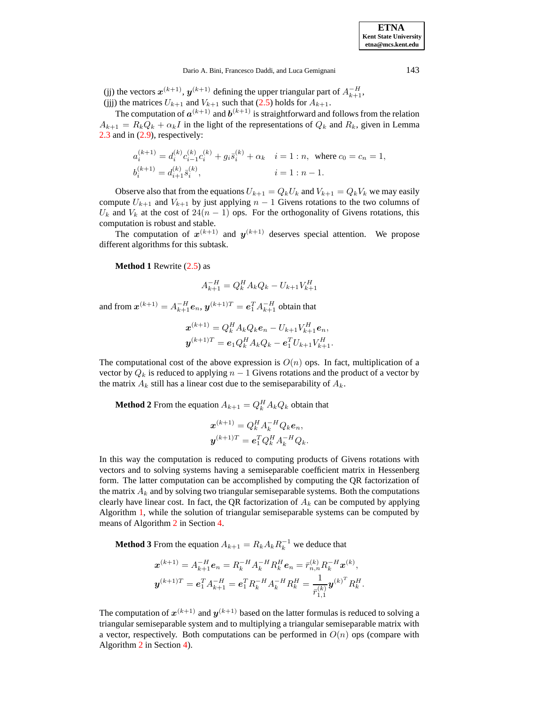(jj) the vectors  $x^{(k+1)}$ ,  $y^{(k+1)}$  defining the upper triangular part of  $A_{k+1}^{-H}$ , (jjj) the matrices  $U_{k+1}$  and  $V_{k+1}$  such that [\(2.5\)](#page-2-3) holds for  $A_{k+1}$ .

The computation of  $a^{(k+1)}$  and  $b^{(k+1)}$  is straightforward and follows from the relation  $A_{k+1} = R_k Q_k + \alpha_k I$  in the light of the representations of  $Q_k$  and  $R_k$ , given in Lemma [2.3](#page-5-0) and in [\(2.9\)](#page-4-0), respectively:

$$
\begin{split} a_i^{(k+1)}&=d_i^{(k)}c_{i-1}^{(k)}c_i^{(k)}+g_i\bar{s}_i^{(k)}+\alpha_k\quad i=1:n,\;\;\text{where}\;c_0=c_n=1,\\ b_i^{(k+1)}&=d_{i+1}^{(k)}\bar{s}_i^{(k)},\qquad\qquad i=1:n-1. \end{split}
$$

Observe also that from the equations  $U_{k+1} = Q_k U_k$  and  $V_{k+1} = Q_k V_k$  we may easily compute  $U_{k+1}$  and  $V_{k+1}$  by just applying  $n-1$  Givens rotations to the two columns of  $U_k$  and  $V_k$  at the cost of  $24(n - 1)$  ops. For the orthogonality of Givens rotations, this computation is robust and stable.

The computation of  $x^{(k+1)}$  and  $y^{(k+1)}$  deserves special attention. We propose different algorithms for this subtask.

**Method 1** Rewrite [\(2.5\)](#page-2-3) as

$$
A_{k+1}^{-H} = Q_k^H A_k Q_k - U_{k+1} V_{k+1}^H
$$

and from  $\boldsymbol{x}^{(k+1)}=A_{k+1}^{-H}\boldsymbol{e}_n,$   $\boldsymbol{y}^{(k+1)T}=\boldsymbol{e}_1^TA_{k+1}^{-H}$  obtain that

$$
\mathbf{x}^{(k+1)} = Q_k^H A_k Q_k \mathbf{e}_n - U_{k+1} V_{k+1}^H \mathbf{e}_n,
$$
  

$$
\mathbf{y}^{(k+1)T} = \mathbf{e}_1 Q_k^H A_k Q_k - \mathbf{e}_1^T U_{k+1} V_{k+1}^H.
$$

The computational cost of the above expression is  $O(n)$  ops. In fact, multiplication of a vector by  $Q_k$  is reduced to applying  $n-1$  Givens rotations and the product of a vector by the matrix  $A_k$  still has a linear cost due to the semiseparability of  $A_k$ .

**Method 2** From the equation  $A_{k+1} = Q_k^H A_k Q_k$  obtain that

$$
\mathbf{x}^{(k+1)} = Q_k^H A_k^{-H} Q_k \mathbf{e}_n,
$$
  

$$
\mathbf{y}^{(k+1)T} = \mathbf{e}_1^T Q_k^H A_k^{-H} Q_k.
$$

In this way the computation is reduced to computing products of Givens rotations with vectors and to solving systems having a semiseparable coefficient matrix in Hessenberg form. The latter computation can be accomplished by computing the QR factorization of the matrix  $A_k$  and by solving two triangular semiseparable systems. Both the computations clearly have linear cost. In fact, the QR factorization of  $A_k$  can be computed by applying Algorithm [1,](#page-4-1) while the solution of triangular semiseparable systems can be computed by means of Algorithm [2](#page-11-0) in Section [4.](#page-10-0)

**Method 3** From the equation  $A_{k+1} = R_k A_k R_k^{-1}$  we deduce that

$$
\mathbf{x}^{(k+1)} = A_{k+1}^{-H} \mathbf{e}_n = R_k^{-H} A_k^{-H} R_k^H \mathbf{e}_n = \bar{r}_{n,n}^{(k)} R_k^{-H} \mathbf{x}^{(k)},
$$
  

$$
\mathbf{y}^{(k+1)T} = \mathbf{e}_1^T A_{k+1}^{-H} = \mathbf{e}_1^T R_k^{-H} A_k^{-H} R_k^H = \frac{1}{\bar{r}_{1,1}^{(k)}} \mathbf{y}^{(k)^T} R_k^H.
$$

The computation of  $x^{(k+1)}$  and  $y^{(k+1)}$  based on the latter formulas is reduced to solving a triangular semiseparable system and to multiplying a triangular semiseparable matrix with a vector, respectively. Both computations can be performed in  $O(n)$  ops (compare with Algorithm [2](#page-11-0) in Section [4\)](#page-10-0).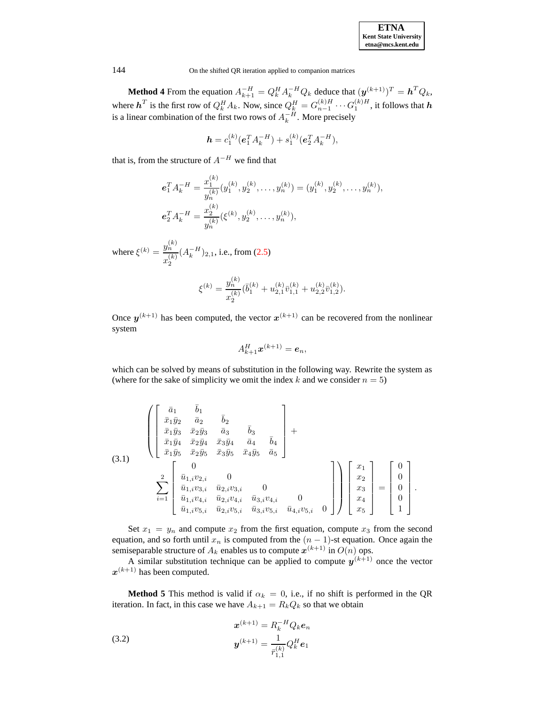| <b>ETNA</b>                  |  |  |  |  |  |  |
|------------------------------|--|--|--|--|--|--|
| <b>Kent State University</b> |  |  |  |  |  |  |
| etna@mcs.kent.edu            |  |  |  |  |  |  |

**Method 4** From the equation  $A_{k+1}^{-H} = Q_k^H A_k^{-H} Q_k$  deduce that  $(\mathbf{y}^{(k+1)})^T = \mathbf{h}^T Q_k$ , where  $h^T$  is the first row of  $Q_k^H A_k$ . Now, since  $Q_k^H = G_{n-1}^{(k)H} \cdots G_1^{(k)H}$ , it follows that  $h$ is a linear combination of the first two rows of  $A_k^{-H}$ . More precisely

$$
\mathbf{h} = c_1^{(k)} (\mathbf{e}_1^T A_k^{-H}) + s_1^{(k)} (\mathbf{e}_2^T A_k^{-H}),
$$

that is, from the structure of  $A^{-H}$  we find that

$$
\mathbf{e}_1^T A_k^{-H} = \frac{x_1^{(k)}}{y_n^{(k)}} (y_1^{(k)}, y_2^{(k)}, \dots, y_n^{(k)}) = (y_1^{(k)}, y_2^{(k)}, \dots, y_n^{(k)}),
$$
  

$$
\mathbf{e}_2^T A_k^{-H} = \frac{x_2^{(k)}}{y_n^{(k)}} (\xi^{(k)}, y_2^{(k)}, \dots, y_n^{(k)}),
$$

where  $\xi^{(k)} = \frac{y_n^{(k)}}{(k)}$  $x_2^{(k)}$  $(A_k^{-H})_{2,1}$ , i.e., from [\(2.5\)](#page-2-3)

$$
\xi^{(k)} = \frac{y_n^{(k)}}{x_2^{(k)}} (\bar{b}_1^{(k)} + u_{2,1}^{(k)} \bar{v}_{1,1}^{(k)} + u_{2,2}^{(k)} \bar{v}_{1,2}^{(k)}).
$$

Once  $y^{(k+1)}$  has been computed, the vector  $x^{(k+1)}$  can be recovered from the nonlinear system

$$
A_{k+1}^H \boldsymbol{x}^{(k+1)} = \boldsymbol{e}_n,
$$

which can be solved by means of substitution in the following way. Rewrite the system as (where for the sake of simplicity we omit the index k and we consider  $n = 5$ )

$$
(3.1) \qquad \begin{pmatrix} \bar{a}_1 & \bar{b}_1 \\ \bar{x}_1\bar{y}_2 & \bar{a}_2 & \bar{b}_2 \\ \bar{x}_1\bar{y}_3 & \bar{x}_2\bar{y}_3 & \bar{a}_3 & \bar{b}_3 \\ \bar{x}_1\bar{y}_4 & \bar{x}_2\bar{y}_4 & \bar{x}_3\bar{y}_4 & \bar{a}_4 & \bar{b}_4 \\ \bar{x}_1\bar{y}_5 & \bar{x}_2\bar{y}_5 & \bar{x}_3\bar{y}_5 & \bar{x}_4\bar{y}_5 & \bar{a}_5 \end{pmatrix} + \qquad (3.1)
$$
\n
$$
\sum_{i=1}^2 \begin{bmatrix} 0 \\ \bar{u}_{1,i}v_{2,i} & 0 \\ \bar{u}_{1,i}v_{3,i} & \bar{u}_{2,i}v_{3,i} & 0 \\ \bar{u}_{1,i}v_{4,i} & \bar{u}_{2,i}v_{4,i} & \bar{u}_{3,i}v_{4,i} & 0 \\ \bar{u}_{1,i}v_{5,i} & \bar{u}_{2,i}v_{5,i} & \bar{u}_{3,i}v_{5,i} & \bar{u}_{4,i}v_{5,i} & 0 \end{bmatrix} \begin{bmatrix} x_1 \\ x_2 \\ x_3 \\ x_4 \\ x_5 \end{bmatrix} = \begin{bmatrix} 0 \\ 0 \\ 0 \\ 0 \\ 1 \end{bmatrix}.
$$

Set  $x_1 = y_n$  and compute  $x_2$  from the first equation, compute  $x_3$  from the second equation, and so forth until  $x_n$  is computed from the  $(n - 1)$ -st equation. Once again the semiseparable structure of  $A_k$  enables us to compute  $x^{(k+1)}$  in  $O(n)$  ops.

A similar substitution technique can be applied to compute  $y^{(k+1)}$  once the vector  $x^{(k+1)}$  has been computed.

<span id="page-7-0"></span>**Method 5** This method is valid if  $\alpha_k = 0$ , i.e., if no shift is performed in the QR iteration. In fact, in this case we have  $A_{k+1} = R_k Q_k$  so that we obtain

(3.2) 
$$
\mathbf{x}^{(k+1)} = R_k^{-H} Q_k \mathbf{e}_n
$$

$$
\mathbf{y}^{(k+1)} = \frac{1}{\bar{r}_{1,1}^{(k)}} Q_k^H \mathbf{e}_1
$$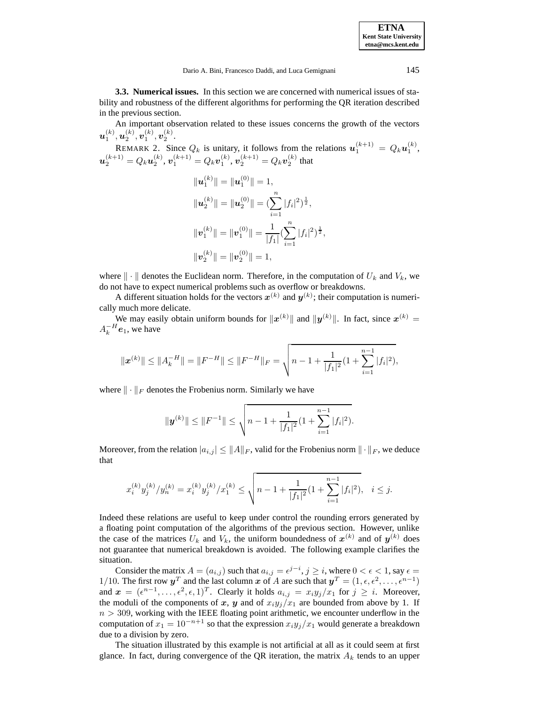<span id="page-8-0"></span>**3.3. Numerical issues.** In this section we are concerned with numerical issues of stability and robustness of the different algorithms for performing the QR iteration described in the previous section.

An important observation related to these issues concerns the growth of the vectors  $\bm{u}^{(k)}_1, \bm{u}^{(k)}_2, \bm{v}^{(k)}_1, \bm{v}^{(k)}_2.$ 

REMARK 2. Since  $Q_k$  is unitary, it follows from the relations  $u_1^{(k+1)} = Q_k u_1^{(k)}$ ,  $\bm{u}_2^{(k+1)}=Q_k\bm{u}_2^{(k)},\bm{v}_1^{(k+1)}=Q_k\bm{v}_1^{(k)},\bm{v}_2^{(k+1)}=Q_k\bm{v}_2^{(k)}$  that

$$
||u_1^{(k)}|| = ||u_1^{(0)}|| = 1,
$$
  
\n
$$
||u_2^{(k)}|| = ||u_2^{(0)}|| = \left(\sum_{i=1}^n |f_i|^2\right)^{\frac{1}{2}},
$$
  
\n
$$
||v_1^{(k)}|| = ||v_1^{(0)}|| = \frac{1}{|f_1|} \left(\sum_{i=1}^n |f_i|^2\right)^{\frac{1}{2}},
$$
  
\n
$$
||v_2^{(k)}|| = ||v_2^{(0)}|| = 1,
$$

where  $\|\cdot\|$  denotes the Euclidean norm. Therefore, in the computation of  $U_k$  and  $V_k$ , we do not have to expect numerical problems such as overflow or breakdowns.

A different situation holds for the vectors  $x^{(k)}$  and  $y^{(k)}$ ; their computation is numerically much more delicate.

We may easily obtain uniform bounds for  $||x^{(k)}||$  and  $||y^{(k)}||$ . In fact, since  $x^{(k)}$  =  $A_k^{-H}$ **e**<sub>1</sub>, we have

$$
\|\boldsymbol{x}^{(k)}\| \le \|A_k^{-H}\| = \|F^{-H}\| \le \|F^{-H}\|_F = \sqrt{n-1 + \frac{1}{|f_1|^2}(1 + \sum_{i=1}^{n-1}|f_i|^2)},
$$

where  $\|\cdot\|_F$  denotes the Frobenius norm. Similarly we have

$$
\|\mathbf{y}^{(k)}\| \le \|F^{-1}\| \le \sqrt{n-1 + \frac{1}{|f_1|^2} \left(1 + \sum_{i=1}^{n-1} |f_i|^2\right)}.
$$

Moreover, from the relation  $|a_{i,j}| \leq ||A||_F$ , valid for the Frobenius norm  $||\cdot||_F$ , we deduce that

$$
x_i^{(k)}y_j^{(k)}/y_n^{(k)}=x_i^{(k)}y_j^{(k)}/x_1^{(k)}\leq \sqrt{n-1+\frac{1}{|f_1|^2}(1+\sum_{i=1}^{n-1}|f_i|^2)},\quad i\leq j.
$$

Indeed these relations are useful to keep under control the rounding errors generated by a floating point computation of the algorithms of the previous section. However, unlike the case of the matrices  $U_k$  and  $V_k$ , the uniform boundedness of  $x^{(k)}$  and of  $y^{(k)}$  does not guarantee that numerical breakdown is avoided. The following example clarifies the situation.

Consider the matrix  $A = (a_{i,j})$  such that  $a_{i,j} = \epsilon^{j-i}, j \geq i$ , where  $0 < \epsilon < 1$ , say  $\epsilon =$ 1/10. The first row  $y^T$  and the last column x of A are such that  $y^T = (1, \epsilon, \epsilon^2, \dots, \epsilon^{n-1})$ and  $\mathbf{x} = (\epsilon^{n-1}, \ldots, \epsilon^2, \epsilon, 1)^T$ . Clearly it holds  $a_{i,j} = x_i y_j / x_1$  for  $j \geq i$ . Moreover, the moduli of the components of x, y and of  $x_i y_j/x_1$  are bounded from above by 1. If  $n > 309$ , working with the IEEE floating point arithmetic, we encounter underflow in the computation of  $x_1 = 10^{-n+1}$  so that the expression  $x_i y_j/x_1$  would generate a breakdown due to a division by zero.

The situation illustrated by this example is not artificial at all as it could seem at first glance. In fact, during convergence of the QR iteration, the matrix  $A_k$  tends to an upper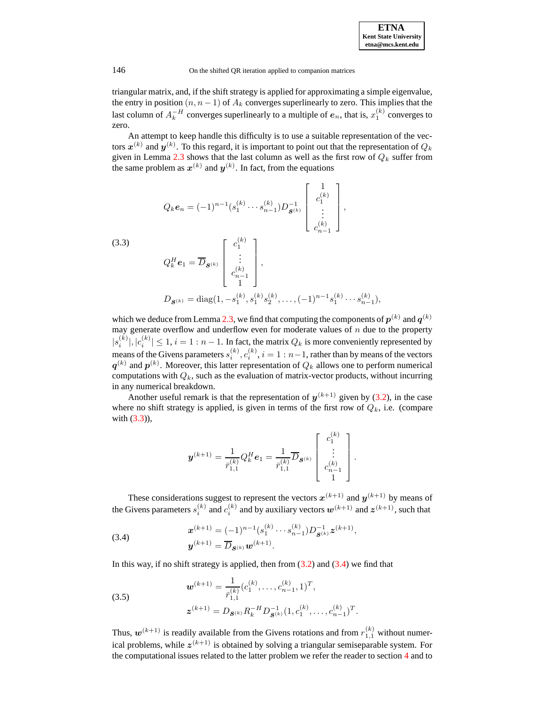triangular matrix, and, if the shift strategy is applied for approximating a simple eigenvalue, the entry in position  $(n, n - 1)$  of  $A_k$  converges superlinearly to zero. This implies that the last column of  $A_k^{-H}$  converges superlinearly to a multiple of  $e_n$ , that is,  $x_1^{(k)}$  converges to zero.

<span id="page-9-0"></span>An attempt to keep handle this difficulty is to use a suitable representation of the vectors  $\bm{x}^{(k)}$  and  $\bm{y}^{(k)}$ . To this regard, it is important to point out that the representation of  $Q_k$ given in Lemma [2.3](#page-5-0) shows that the last column as well as the first row of  $Q_k$  suffer from the same problem as  $x^{(k)}$  and  $y^{(k)}$ . In fact, from the equations

$$
Q_{k}e_{n} = (-1)^{n-1} (s_{1}^{(k)} \cdots s_{n-1}^{(k)}) D_{\mathcal{S}^{(k)}}^{-1} \begin{bmatrix} 1 \\ c_{1}^{(k)} \\ \vdots \\ c_{n-1}^{(k)} \end{bmatrix},
$$
  
\n(3.3)  
\n
$$
Q_{k}^{H}e_{1} = \overline{D}_{\mathcal{S}^{(k)}} \begin{bmatrix} c_{1}^{(k)} \\ \vdots \\ c_{n-1}^{(k)} \\ 1 \end{bmatrix},
$$
  
\n
$$
D_{\mathcal{S}^{(k)}} = \text{diag}(1, -s_{1}^{(k)}, s_{1}^{(k)} s_{2}^{(k)}, \dots, (-1)^{n-1} s_{1}^{(k)} \cdots s_{n-1}^{(k)}),
$$

which we deduce from Lemma [2.3,](#page-5-0) we find that computing the components of  $p^{(k)}$  and  $q^{(k)}$ may generate overflow and underflow even for moderate values of  $n$  due to the property  $|s_i^{(k)}|, |c_i^{(k)}| \leq 1, i = 1 : n - 1$ . In fact, the matrix  $Q_k$  is more conveniently represented by means of the Givens parameters  $s_i^{(k)}$ ,  $c_i^{(k)}$ ,  $i = 1 : n-1$ , rather than by means of the vectors  $q^{(k)}$  and  $p^{(k)}$ . Moreover, this latter representation of  $Q_k$  allows one to perform numerical computations with  $Q_k$ , such as the evaluation of matrix-vector products, without incurring in any numerical breakdown.

Another useful remark is that the representation of  $y^{(k+1)}$  given by [\(3.2\)](#page-7-0), in the case where no shift strategy is applied, is given in terms of the first row of  $Q_k$ , i.e. (compare with [\(3.3\)](#page-9-0)),

$$
\boldsymbol{y}^{(k+1)} = \frac{1}{\bar{r}_{1,1}^{(k)}} Q_k^H \boldsymbol{e}_1 = \frac{1}{\bar{r}_{1,1}^{(k)}} \overline{D}_{\boldsymbol{S}^{(k)}} \begin{bmatrix} c_1^{(k)} \\ \vdots \\ c_{n-1}^{(k)} \\ 1 \end{bmatrix}.
$$

These considerations suggest to represent the vectors  $x^{(k+1)}$  and  $y^{(k+1)}$  by means of the Givens parameters  $s_i^{(k)}$  and  $c_i^{(k)}$  and by auxiliary vectors  $\boldsymbol{w}^{(k+1)}$  and  $\boldsymbol{z}^{(k+1)}$ , such that

(3.4) 
$$
\mathbf{x}^{(k+1)} = (-1)^{n-1} (s_1^{(k)} \cdots s_{n-1}^{(k)}) D_{\mathbf{S}^{(k)}}^{-1} \mathbf{z}^{(k+1)},
$$

$$
\mathbf{y}^{(k+1)} = \overline{D}_{\mathbf{S}^{(k)}} \mathbf{w}^{(k+1)}.
$$

In this way, if no shift strategy is applied, then from  $(3.2)$  and  $(3.4)$  we find that

(3.5)  

$$
\mathbf{w}^{(k+1)} = \frac{1}{\bar{r}_{1,1}^{(k)}} (c_1^{(k)}, \dots, c_{n-1}^{(k)}, 1)^T,
$$

$$
\mathbf{z}^{(k+1)} = D_{\mathbf{S}^{(k)}} R_k^{-H} D_{\mathbf{S}^{(k)}}^{-1} (1, c_1^{(k)}, \dots, c_{n-1}^{(k)})^T
$$

Thus,  $w^{(k+1)}$  is readily available from the Givens rotations and from  $r_{1,1}^{(k)}$  without numerical problems, while  $z^{(k+1)}$  is obtained by solving a triangular semiseparable system. For the computational issues related to the latter problem we refer the reader to section [4](#page-10-0) and to

<span id="page-9-2"></span><span id="page-9-1"></span>.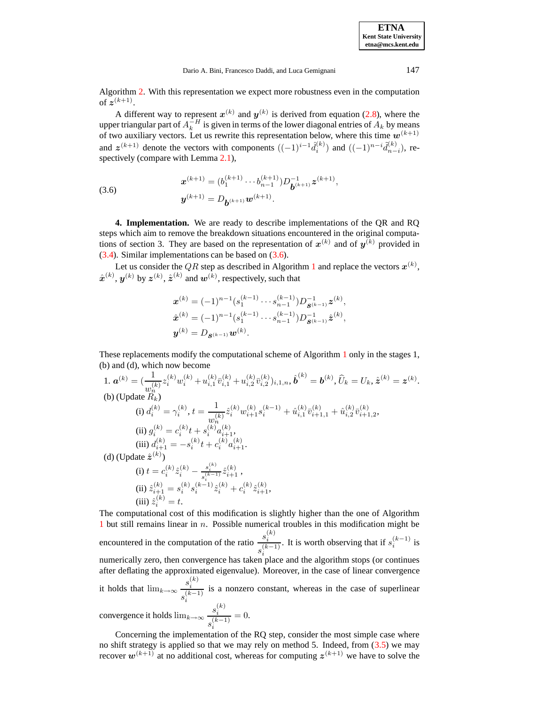Algorithm [2.](#page-11-0) With this representation we expect more robustness even in the computation of  $z^{(k+1)}$ .

<span id="page-10-1"></span>A different way to represent  $x^{(k)}$  and  $y^{(k)}$  is derived from equation [\(2.8\)](#page-2-4), where the upper triangular part of  $A_k^{-H}$  is given in terms of the lower diagonal entries of  $A_k$  by means of two auxiliary vectors. Let us rewrite this representation below, where this time  $w^{(k+1)}$ and  $z^{(k+1)}$  denote the vectors with components  $((-1)^{i-1} \hat{d}_i^{(k)})$  and  $((-1)^{n-i} \tilde{d}_{n-i}^{(k)})$ , re-spectively (compare with Lemma [2.1\)](#page-2-5).

(3.6) 
$$
\mathbf{x}^{(k+1)} = (b_1^{(k+1)} \cdots b_{n-1}^{(k+1)}) D_{\mathbf{b}^{(k+1)}}^{-1} \mathbf{z}^{(k+1)},
$$

$$
\mathbf{y}^{(k+1)} = D_{\mathbf{b}^{(k+1)}} \mathbf{w}^{(k+1)}.
$$

<span id="page-10-0"></span>**4. Implementation.** We are ready to describe implementations of the QR and RQ steps which aim to remove the breakdown situations encountered in the original computations of section 3. They are based on the representation of  $x^{(k)}$  and of  $y^{(k)}$  provided in [\(3.4\)](#page-9-1). Similar implementations can be based on [\(3.6\)](#page-10-1).

Let us consider the QR step as described in Algorithm [1](#page-4-1) and replace the vectors  $\boldsymbol{x}^{(k)},$  $\hat{\boldsymbol{x}}^{(k)}, \boldsymbol{y}^{(k)}$  by  $\boldsymbol{z}^{(k)}, \hat{\boldsymbol{z}}^{(k)}$  and  $\boldsymbol{w}^{(k)},$  respectively, such that

$$
\begin{aligned} \mathbf{x}^{(k)} &= (-1)^{n-1} (s_1^{(k-1)} \cdots s_{n-1}^{(k-1)}) D_{\mathbf{S}^{(k-1)}}^{-1} \mathbf{z}^{(k)}, \\ \hat{\mathbf{x}}^{(k)} &= (-1)^{n-1} (s_1^{(k-1)} \cdots s_{n-1}^{(k-1)}) D_{\mathbf{S}^{(k-1)}}^{-1} \hat{\mathbf{z}}^{(k)}, \\ \mathbf{y}^{(k)} &= D_{\mathbf{S}^{(k-1)}} \mathbf{w}^{(k)}. \end{aligned}
$$

These replacements modify the computational scheme of Algorithm [1](#page-4-1) only in the stages 1, (b) and (d), which now become

1. 
$$
\mathbf{a}^{(k)} = \left(\frac{1}{w_n^{(k)}} z_i^{(k)} w_i^{(k)} + u_{i,1}^{(k)} \bar{v}_{i,1}^{(k)} + u_{i,2}^{(k)} \bar{v}_{i,2}^{(k)}\right)_{i,1,n}, \hat{\mathbf{b}}^{(k)} = \mathbf{b}^{(k)}, \hat{U}_k = U_k, \hat{\mathbf{z}}^{(k)} = \mathbf{z}^{(k)}.
$$
  
\n(b) (Update  $R_k$ )  
\n(i)  $d_i^{(k)} = \gamma_i^{(k)}, t = \frac{1}{w_n^{(k)}} \hat{z}_i^{(k)} w_{i+1}^{(k)} s_i^{(k-1)} + \hat{u}_{i,1}^{(k)} \bar{v}_{i+1,1}^{(k)} + \hat{u}_{i,2}^{(k)} \bar{v}_{i+1,2}^{(k)},$   
\n(ii)  $g_i^{(k)} = c_i^{(k)} t + s_i^{(k)} a_{i+1}^{(k)},$   
\n(iii)  $d_{i+1}^{(k)} = -s_i^{(k)} t + c_i^{(k)} a_{i+1}^{(k)}.$   
\n(d) (Update  $\hat{\mathbf{z}}^{(k)}$ )  
\n(i)  $t = c_i^{(k)} \hat{z}_i^{(k)} - \frac{s_i^{(k)}}{s_i^{(k-1)}} \hat{z}_{i+1}^{(k)},$   
\n(ii)  $\hat{z}_{i+1}^{(k)} = s_i^{(k)} s_i^{(k-1)} \hat{z}_i^{(k)} + c_i^{(k)} \hat{z}_{i+1}^{(k)},$   
\n(iii)  $\hat{z}_i^{(k)} = t.$ 

The computational cost of this modification is slightly higher than the one of Algorithm [1](#page-4-1) but still remains linear in n. Possible numerical troubles in this modification might be encountered in the computation of the ratio  $\frac{s_i^{(k)}}{i}$  $s_i^{(k-1)}$ . It is worth observing that if  $s_i^{(k-1)}$  is numerically zero, then convergence has taken place and the algorithm stops (or continues after deflating the approximated eigenvalue). Moreover, in the case of linear convergence it holds that  $\lim_{k\to\infty} \frac{s_i^{(k)}}{(k-i)}$  $s_i^{(k-1)}$ is a nonzero constant, whereas in the case of superlinear

convergence it holds  $\lim_{k\to\infty} \frac{s_i^{(k)}}{(k-i)}$  $s_i^{(k-1)}$  $= 0.$ 

Concerning the implementation of the RQ step, consider the most simple case where no shift strategy is applied so that we may rely on method 5. Indeed, from  $(3.5)$  we may recover  $w^{(k+1)}$  at no additional cost, whereas for computing  $z^{(k+1)}$  we have to solve the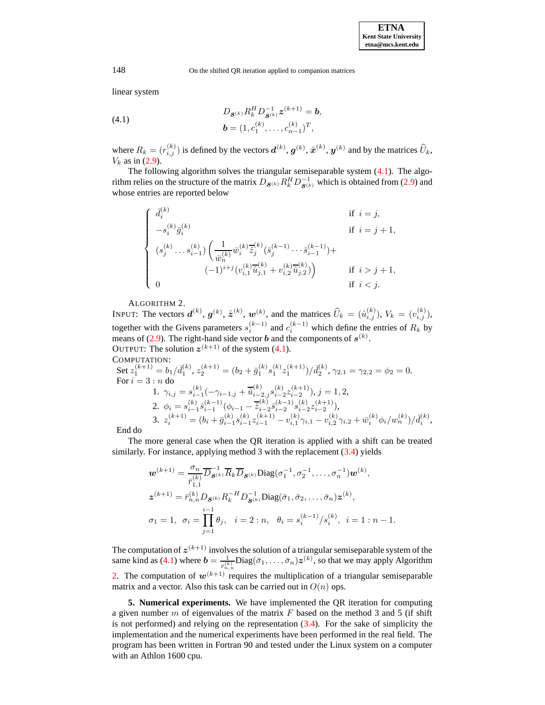,

148 On the shifted QR iteration applied to companion matrices

linear system

(4.1) 
$$
D_{\mathbf{S}^{(k)}} R_k^H D_{\mathbf{S}^{(k)}}^{-1} z^{(k+1)} = \mathbf{b},
$$

$$
\mathbf{b} = (1, c_1^{(k)}, \dots, c_{n-1}^{(k)})^T,
$$

where  $R_k = (r_{i,j}^{(k)})$  is defined by the vectors  $\boldsymbol{d}^{(k)}$ ,  $\boldsymbol{g}^{(k)}$ ,  $\hat{\boldsymbol{x}}^{(k)}$ ,  $\boldsymbol{y}^{(k)}$  and by the matrices  $\widehat{U}_k$ ,  $V_k$  as in [\(2.9\)](#page-4-0).

The following algorithm solves the triangular semiseparable system [\(4.1\)](#page-11-1). The algorithm relies on the structure of the matrix  $D_{\mathbf{S}^{(k)}} R_k^H D_{\mathbf{S}^{(k)}}^{-1}$  which is obtained from [\(2.9\)](#page-4-0) and whose entries are reported below

$$
\left\{\begin{array}{ll} \bar{d}_i^{(k)} & \text{if } i = j, \\[1mm] -s_i^{(k)}\bar{g}_i^{(k)} & \text{if } i = j+1, \\[1mm] (s_j^{(k)}\ldots s_{i-1}^{(k)})\left(\frac{1}{\bar{w}_n^{(k)}}\bar{w}_i^{(k)}\bar{z}_j^{(k)}(\bar{s}_j^{(k-1)}\ldots \bar{s}_{i-1}^{(k-1)})+\right. \\[1mm] & \left. (-1)^{i+j}(v_{i,1}^{(k)}\overline{\hat{u}}_{j,1}^{(k)}+v_{i,2}^{(k)}\overline{\hat{u}}_{j,2}^{(k)})\right) & \text{if } i > j+1, \\[1mm] 0 & \text{if } i < j. \end{array} \right.
$$

ALGORITHM 2.

<span id="page-11-0"></span>INPUT: The vectors  $\boldsymbol{d}^{(k)}$ ,  $\boldsymbol{g}^{(k)}$ ,  $\hat{\boldsymbol{z}}^{(k)}$ ,  $\boldsymbol{w}^{(k)}$ , and the matrices  $\widehat{U}_k = (\hat{u}_{i,j}^{(k)})$ ,  $V_k = (v_{i,j}^{(k)})$ , together with the Givens parameters  $s_i^{(k-1)}$  and  $c_i^{(k-1)}$  which define the entries of  $R_k$  by means of [\(2.9\)](#page-4-0). The right-hand side vector **b** and the components of  $s^{(k)}$ . OUTPUT: The solution  $z^{(k+1)}$  of the system [\(4.1\)](#page-11-1).

COMPUTATION:

Set 
$$
z_1^{(k+1)} = b_1/\bar{d}_1^{(k)}
$$
,  $z_2^{(k+1)} = (b_2 + \bar{g}_1^{(k)} s_1^{(k)} z_1^{(k+1)})/\bar{d}_2^{(k)}$ ,  $\gamma_{2,1} = \gamma_{2,2} = \phi_2 = 0$ .  
\nFor  $i = 3 : n$  do  
\n1.  $\gamma_{i,j} = s_{i-1}^{(k)}(-\gamma_{i-1,j} + \overline{\hat{u}}_{i-2,j}^{(k)} s_{i-2}^{(k)} z_{i-2}^{(k+1)}), j = 1, 2$ ,  
\n2.  $\phi_i = s_{i-1}^{(k)} \overline{s}_{i-1}^{(k-1)} (\phi_{i-1} - \overline{\hat{z}}_{i-2}^{(k)} \overline{s}_{i-2}^{(k-1)} s_{i-2}^{(k+1)}),$   
\n3.  $z_i^{(k+1)} = (b_i + \overline{g}_{i-1}^{(k)} s_{i-1}^{(k)} z_{i-1}^{(k+1)} - v_{i,1}^{(k)} \gamma_{i,1} - v_{i,2}^{(k)} \gamma_{i,2} + \overline{w}_i^{(k)} \phi_i / w_n^{(k)}) / \overline{d}_i^{(k)}$   
\nEnd do

End do

The more general case when the QR iteration is applied with a shift can be treated similarly. For instance, applying method 3 with the replacement  $(3.4)$  yields

$$
\mathbf{w}^{(k+1)} = \frac{\sigma_n}{\bar{r}_{1,1}^{(k)}} \overline{D}_{\mathbf{S}^{(k)}} \overline{R}_k \overline{D}_{\mathbf{S}^{(k)}} \text{Diag}(\sigma_1^{-1}, \sigma_2^{-1}, \dots, \sigma_n^{-1}) \mathbf{w}^{(k)},
$$
  

$$
\mathbf{z}^{(k+1)} = \bar{r}_{n,n}^{(k)} D_{\mathbf{S}^{(k)}} R_k^{-H} D_{\mathbf{S}^{(k)}}^{-1} \text{Diag}(\bar{\sigma}_1, \bar{\sigma}_2, \dots, \bar{\sigma}_n) \mathbf{z}^{(k)},
$$
  

$$
\sigma_1 = 1, \ \sigma_i = \prod_{j=1}^{i-1} \theta_j, \ \ i = 2 : n, \ \theta_i = s_i^{(k-1)}/s_i^{(k)}, \ i = 1 : n-1.
$$

The computation of  $z^{(k+1)}$  involves the solution of a triangular semiseparable system of the same kind as [\(4.1\)](#page-11-1) where  $\mathbf{b} = \frac{1}{\bar{r}_{n,n}^{(k)}} \text{Diag}(\bar{\sigma}_1, \dots, \bar{\sigma}_n) \mathbf{z}^{(k)}$ , so that we may apply Algorithm [2.](#page-11-0) The computation of  $w^{(k+1)}$  requires the multiplication of a triangular semiseparable matrix and a vector. Also this task can be carried out in  $O(n)$  ops.

**5. Numerical experiments.** We have implemented the QR iteration for computing a given number m of eigenvalues of the matrix  $F$  based on the method 3 and 5 (if shift is not performed) and relying on the representation  $(3.4)$ . For the sake of simplicity the implementation and the numerical experiments have been performed in the real field. The program has been written in Fortran 90 and tested under the Linux system on a computer with an Athlon 1600 cpu.

<span id="page-11-1"></span>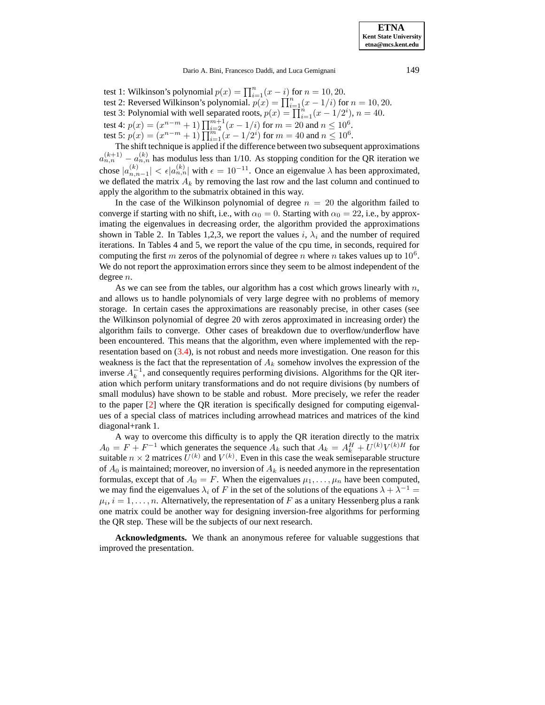Dario A. Bini, Francesco Daddi, and Luca Gemignani 149

test 1: Wilkinson's polynomial  $p(x) = \prod_{i=1}^{n} (x - i)$  for  $n = 10, 20$ . test 2: Reversed Wilkinson's polynomial.  $p(x) = \prod_{i=1}^{n} (x - 1/i)$  for  $n = 10, 20$ . test 3: Polynomial with well separated roots,  $p(x) = \prod_{i=1}^{n} (x - 1/2^i)$ ,  $n = 40$ . test 4:  $p(x) = (x^{n-m} + 1) \prod_{i=2}^{m+1} (x - 1/i)$  for  $m = 20$  and  $n \le 10^6$ . test 5:  $p(x) = (x^{n-m} + 1) \prod_{i=1}^{m} (x - 1/2^i)$  for  $m = 40$  and  $n \le 10^6$ .

The shift technique is applied if the difference between two subsequent approximations  $a_{n,n}^{(k+1)} - a_{n,n}^{(k)}$  has modulus less than 1/10. As stopping condition for the QR iteration we chose  $|a_{n,n-1}^{(k)}| < \epsilon |a_{n,n}^{(k)}|$  with  $\epsilon = 10^{-11}$ . Once an eigenvalue  $\lambda$  has been approximated, we deflated the matrix  $A_k$  by removing the last row and the last column and continued to apply the algorithm to the submatrix obtained in this way.

In the case of the Wilkinson polynomial of degree  $n = 20$  the algorithm failed to converge if starting with no shift, i.e., with  $\alpha_0 = 0$ . Starting with  $\alpha_0 = 22$ , i.e., by approximating the eigenvalues in decreasing order, the algorithm provided the approximations shown in Table 2. In Tables 1,2,3, we report the values i,  $\lambda_i$  and the number of required iterations. In Tables 4 and 5, we report the value of the cpu time, in seconds, required for computing the first m zeros of the polynomial of degree n where n takes values up to  $10^6$ . We do not report the approximation errors since they seem to be almost independent of the degree n.

As we can see from the tables, our algorithm has a cost which grows linearly with  $n$ , and allows us to handle polynomials of very large degree with no problems of memory storage. In certain cases the approximations are reasonably precise, in other cases (see the Wilkinson polynomial of degree 20 with zeros approximated in increasing order) the algorithm fails to converge. Other cases of breakdown due to overflow/underflow have been encountered. This means that the algorithm, even where implemented with the representation based on [\(3.4\)](#page-9-1), is not robust and needs more investigation. One reason for this weakness is the fact that the representation of  $A_k$  somehow involves the expression of the inverse  $A_k^{-1}$ , and consequently requires performing divisions. Algorithms for the QR iteration which perform unitary transformations and do not require divisions (by numbers of small modulus) have shown to be stable and robust. More precisely, we refer the reader to the paper [\[2\]](#page-13-11) where the QR iteration is specifically designed for computing eigenvalues of a special class of matrices including arrowhead matrices and matrices of the kind diagonal+rank 1.

A way to overcome this difficulty is to apply the QR iteration directly to the matrix  $A_0 = F + F^{-1}$  which generates the sequence  $A_k$  such that  $A_k = A_k^H + U^{(k)}V^{(k)H}$  for suitable  $n \times 2$  matrices  $U^{(k)}$  and  $V^{(k)}$ . Even in this case the weak semiseparable structure of  $A_0$  is maintained; moreover, no inversion of  $A_k$  is needed anymore in the representation formulas, except that of  $A_0 = F$ . When the eigenvalues  $\mu_1, \dots, \mu_n$  have been computed, we may find the eigenvalues  $\lambda_i$  of F in the set of the solutions of the equations  $\lambda + \lambda^{-1} =$  $\mu_i, i = 1, \ldots, n$ . Alternatively, the representation of F as a unitary Hessenberg plus a rank one matrix could be another way for designing inversion-free algorithms for performing the QR step. These will be the subjects of our next research.

**Acknowledgments.** We thank an anonymous referee for valuable suggestions that improved the presentation.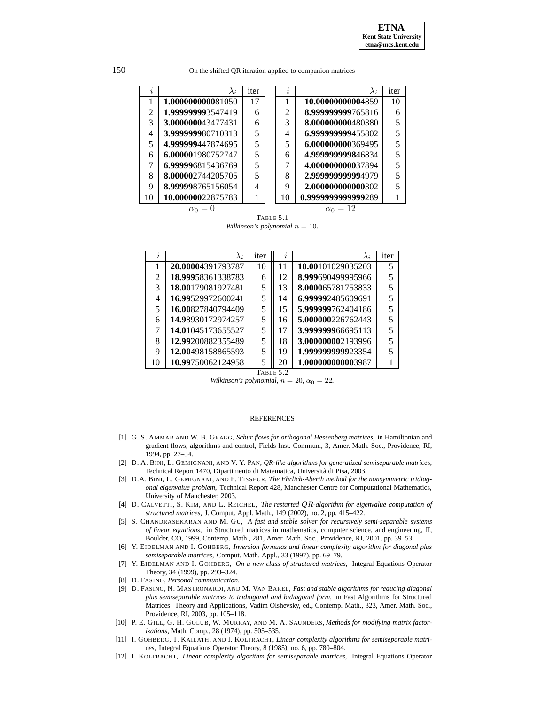150 On the shifted QR iteration applied to companion matrices

| I,             | $\lambda_i$       | iter                     |  | I, | $\lambda_i$        | iter |  |
|----------------|-------------------|--------------------------|--|----|--------------------|------|--|
|                | 1.000000000081050 | 17                       |  |    | 10.00000000004859  | 10   |  |
| $\mathfrak{D}$ | 1.999999993547419 | 6                        |  | 2  | 8.999999999765816  |      |  |
| 3              | 3.000000043477431 | 6                        |  | 3  | 8.000000000480380  |      |  |
| 4              | 3.999999980710313 | 5                        |  | 4  | 6.999999999455802  |      |  |
| 5              | 4.999999447874695 | $\overline{\phantom{0}}$ |  | 5  | 6.000000000369495  |      |  |
| 6              | 6.000001980752747 | 5                        |  | 6  | 4.999999999846834  |      |  |
|                | 6.999996815436769 | $\overline{\phantom{0}}$ |  |    | 4.000000000037894  |      |  |
| 8              | 8.000002744205705 | $\overline{\phantom{0}}$ |  | 8  | 2.999999999994979  |      |  |
| 9              | 8.999998765156054 | $\overline{4}$           |  | 9  | 2.000000000000302  |      |  |
| 10             | 10.00000022875783 |                          |  | 10 | 0.9999999999999289 |      |  |
|                |                   |                          |  |    |                    |      |  |

TABLE 5.1

*Wilkinson's polynomial*  $n = 10$ *.* 

| Ì. | $\lambda_i$       | iter | I,           | $\lambda_i$       | iter |
|----|-------------------|------|--------------|-------------------|------|
|    | 20.00004391793787 | 10   | 11           | 10.00101029035203 | 5    |
| 2  | 18.99958361338783 | 6    | 12           | 8.999690499995966 |      |
| 3  | 18.00179081927481 | 5    | 13           | 8.000065781753833 |      |
| 4  | 16.99529972600241 | 5    | 14           | 6.999992485609691 |      |
| 5  | 16.00827840794409 | 5    | 15           | 5.999999762404186 |      |
| 6  | 14.98930172974257 | 5    | 16           | 5.000000226762443 |      |
|    | 14.01045173655527 | 5    | 17           | 3.999999966695113 |      |
| 8  | 12.99200882355489 | 5    | 18           | 3.000000002193996 |      |
| 9  | 12.00498158865593 | 5    | 19           | 1.999999999923354 |      |
| 10 | 10.99750062124958 | 5    | 20           | 1.000000000003987 |      |
|    |                   |      | Tari f 5 $2$ |                   |      |

*Wilkinson's polynomial,*  $n = 20$ ,  $\alpha_0 = 22$ .

## REFERENCES

- <span id="page-13-1"></span>[1] G. S. AMMAR AND W. B. GRAGG, *Schur flows for orthogonal Hessenberg matrices*, in Hamiltonian and gradient flows, algorithms and control, Fields Inst. Commun., 3, Amer. Math. Soc., Providence, RI, 1994, pp. 27–34.
- <span id="page-13-11"></span>[2] D. A. BINI, L. GEMIGNANI, AND V. Y. PAN, *QR-like algorithms for generalized semiseparable matrices*, Technical Report 1470, Dipartimento di Matematica, Universita` di Pisa, 2003.
- <span id="page-13-10"></span>[3] D.A. BINI, L. GEMIGNANI, AND F. TISSEUR, *The Ehrlich-Aberth method for the nonsymmetric tridiagonal eigenvalue problem*, Technical Report 428, Manchester Centre for Computational Mathematics, University of Manchester, 2003.
- <span id="page-13-2"></span><span id="page-13-0"></span>[4] D. CALVETTI, S. KIM, AND L. REICHEL, *The restarted* QR*-algorithm for eigenvalue computation of structured matrices*, J. Comput. Appl. Math., 149 (2002), no. 2, pp. 415–422.
- [5] S. CHANDRASEKARAN AND M. GU, *A fast and stable solver for recursively semi-separable systems of linear equations*, in Structured matrices in mathematics, computer science, and engineering, II, Boulder, CO, 1999, Contemp. Math., 281, Amer. Math. Soc., Providence, RI, 2001, pp. 39–53.
- <span id="page-13-3"></span>[6] Y. EIDELMAN AND I. GOHBERG, *Inversion formulas and linear complexity algorithm for diagonal plus semiseparable matrices*, Comput. Math. Appl., 33 (1997), pp. 69–79.
- <span id="page-13-4"></span>[7] Y. EIDELMAN AND I. GOHBERG, *On a new class of structured matrices*, Integral Equations Operator Theory, 34 (1999), pp. 293–324.
- <span id="page-13-8"></span><span id="page-13-5"></span>[8] D. FASINO, *Personal communication*.
- [9] D. FASINO, N. MASTRONARDI, AND M. VAN BAREL, *Fast and stable algorithms for reducing diagonal plus semiseparable matrices to tridiagonal and bidiagonal form*, in Fast Algorithms for Structured Matrices: Theory and Applications, Vadim Olshevsky, ed., Contemp. Math., 323, Amer. Math. Soc., Providence, RI, 2003, pp. 105–118.
- <span id="page-13-9"></span>[10] P. E. GILL, G. H. GOLUB, W. MURRAY, AND M. A. SAUNDERS, *Methods for modifying matrix factorizations*, Math. Comp., 28 (1974), pp. 505–535.
- <span id="page-13-6"></span>[11] I. GOHBERG, T. KAILATH, AND I. KOLTRACHT, *Linear complexity algorithms for semiseparable matrices*, Integral Equations Operator Theory, 8 (1985), no. 6, pp. 780–804.
- <span id="page-13-7"></span>[12] I. KOLTRACHT, *Linear complexity algorithm for semiseparable matrices*, Integral Equations Operator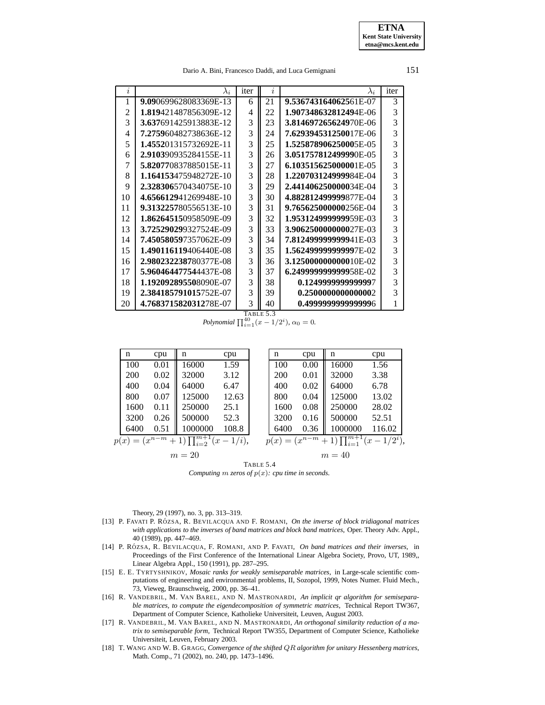Dario A. Bini, Francesco Daddi, and Luca Gemignani 151

|                       |             | $\boldsymbol{\eta}$ |                       | iter        |
|-----------------------|-------------|---------------------|-----------------------|-------------|
| 9.090699628083369E-13 | 6           | 21                  | 9.536743164062561E-07 | 3           |
| 1.819421487856309E-12 | 4           | 22                  | 1.907348632812494E-06 | 3           |
| 3.637691425913883E-12 | 3           | 23                  | 3.814697265624970E-06 | 3           |
| 7.275960482738636E-12 |             | 24                  | 7.629394531250017E-06 | 3           |
| 1.455201315732692E-11 | 3           | 25                  | 1.525878906250005E-05 | 3           |
| 2.910390935284155E-11 | 3           | 26                  | 3.051757812499990E-05 | 3           |
| 5.820770837885015E-11 | 3           | 27                  | 6.103515625000001E-05 | 3           |
| 1.164153475948272E-10 | 3           | 28                  | 1.220703124999984E-04 | 3           |
| 2.328306570434075E-10 | 3           | 29                  | 2.441406250000034E-04 | 3           |
| 4.656612941269948E-10 | 3           | 30                  | 4.882812499999877E-04 | 3           |
| 9.313225780556513E-10 | 3           | 31                  | 9.765625000000256E-04 | 3           |
| 1.862645150958509E-09 | 3           | 32                  | 1.953124999999959E-03 | 3           |
| 3.725290299327524E-09 | 3           | 33                  | 3.906250000000027E-03 | 3           |
| 7.450580597357062E-09 | 3           | 34                  | 7.812499999999941E-03 | 3           |
| 1.490116119406440E-08 | 3           | 35                  | 1.562499999999997E-02 | 3           |
| 2.980232238780377E-08 | 3           | 36                  | 3.125000000000010E-02 | 3           |
| 5.960464477544437E-08 | 3           | 37                  | 6.249999999999958E-02 | 3           |
| 1.192092895508090E-07 | 3           | 38                  | 0.1249999999999997    | 3           |
| 2.384185791015752E-07 | 3           | 39                  | 0.2500000000000002    | 3           |
| 4.768371582031278E-07 | 3           | 40                  | 0.4999999999999996    | 1           |
|                       | $\lambda_i$ | iter<br>3           |                       | $\lambda_i$ |

TABLE 5.3 *Polynomial*  $\prod_{i=1}^{40} (x - 1/2^i)$ ,  $\alpha_0 = 0$ .

|        | n                                                                                                                                                  | cpu  | n       | cpu   |  | n    | cpu    | n       | cpu    |
|--------|----------------------------------------------------------------------------------------------------------------------------------------------------|------|---------|-------|--|------|--------|---------|--------|
|        | 100                                                                                                                                                | 0.01 | 16000   | 1.59  |  | 100  | 0.00   | 16000   | 1.56   |
|        | 200                                                                                                                                                | 0.02 | 32000   | 3.12  |  | 200  | 0.01   | 32000   | 3.38   |
|        | 400                                                                                                                                                | 0.04 | 64000   | 6.47  |  | 400  | 0.02   | 64000   | 6.78   |
|        | 800                                                                                                                                                | 0.07 | 125000  | 12.63 |  | 800  | 0.04   | 125000  | 13.02  |
|        | 1600                                                                                                                                               | 0.11 | 250000  | 25.1  |  | 1600 | 0.08   | 250000  | 28.02  |
|        | 3200                                                                                                                                               | 0.26 | 500000  | 52.3  |  | 3200 | 0.16   | 500000  | 52.51  |
|        | 6400                                                                                                                                               | 0.51 | 1000000 | 108.8 |  | 6400 | 0.36   | 1000000 | 116.02 |
|        | $+1\right)\prod_{i=2}^{\overline{m+1}}(x-1/i),$<br>$+1\right)\prod_{i=1}^{m+1}$<br>$(x^{n-m})$<br>$p(x) = (x^{n-m})$<br>$(x-1/2^{i}),$<br>$p(x) =$ |      |         |       |  |      |        |         |        |
| $m=20$ |                                                                                                                                                    |      |         |       |  |      | $m=40$ |         |        |
|        | TABLE 5.4                                                                                                                                          |      |         |       |  |      |        |         |        |

*Computing*  $m$  *zeros of*  $p(x)$ *: cpu time in seconds.* 

Theory, 29 (1997), no. 3, pp. 313–319.

- <span id="page-14-1"></span>[13] P. FAVATI P. RO´ ZSA, R. BEVILACQUA AND F. ROMANI, *On the inverse of block tridiagonal matrices with applications to the inverses of band matrices and block band matrices*, Oper. Theory Adv. Appl., 40 (1989), pp. 447–469.
- <span id="page-14-2"></span>[14] P. RO´ ZSA, R. BEVILACQUA, F. ROMANI, AND P. FAVATI, *On band matrices and their inverses*, in Proceedings of the First Conference of the International Linear Algebra Society, Provo, UT, 1989,, Linear Algebra Appl., 150 (1991), pp. 287–295.
- <span id="page-14-5"></span>[15] E. E. TYRTYSHNIKOV, *Mosaic ranks for weakly semiseparable matrices*, in Large-scale scientific computations of engineering and environmental problems, II, Sozopol, 1999, Notes Numer. Fluid Mech., 73, Vieweg, Braunschweig, 2000, pp. 36–41.
- <span id="page-14-3"></span>[16] R. VANDEBRIL, M. VAN BAREL, AND N. MASTRONARDI, *An implicit qr algorithm for semiseparable matrices, to compute the eigendecomposition of symmetric matrices*, Technical Report TW367, Department of Computer Science, Katholieke Universiteit, Leuven, August 2003.
- <span id="page-14-4"></span>[17] R. VANDEBRIL, M. VAN BAREL, AND N. MASTRONARDI, *An orthogonal similarity reduction of a matrix to semiseparable form*, Technical Report TW355, Department of Computer Science, Katholieke Universiteit, Leuven, February 2003.
- <span id="page-14-0"></span>[18] T. WANG AND W. B. GRAGG, *Convergence of the shifted* QR *algorithm for unitary Hessenberg matrices*, Math. Comp., 71 (2002), no. 240, pp. 1473–1496.